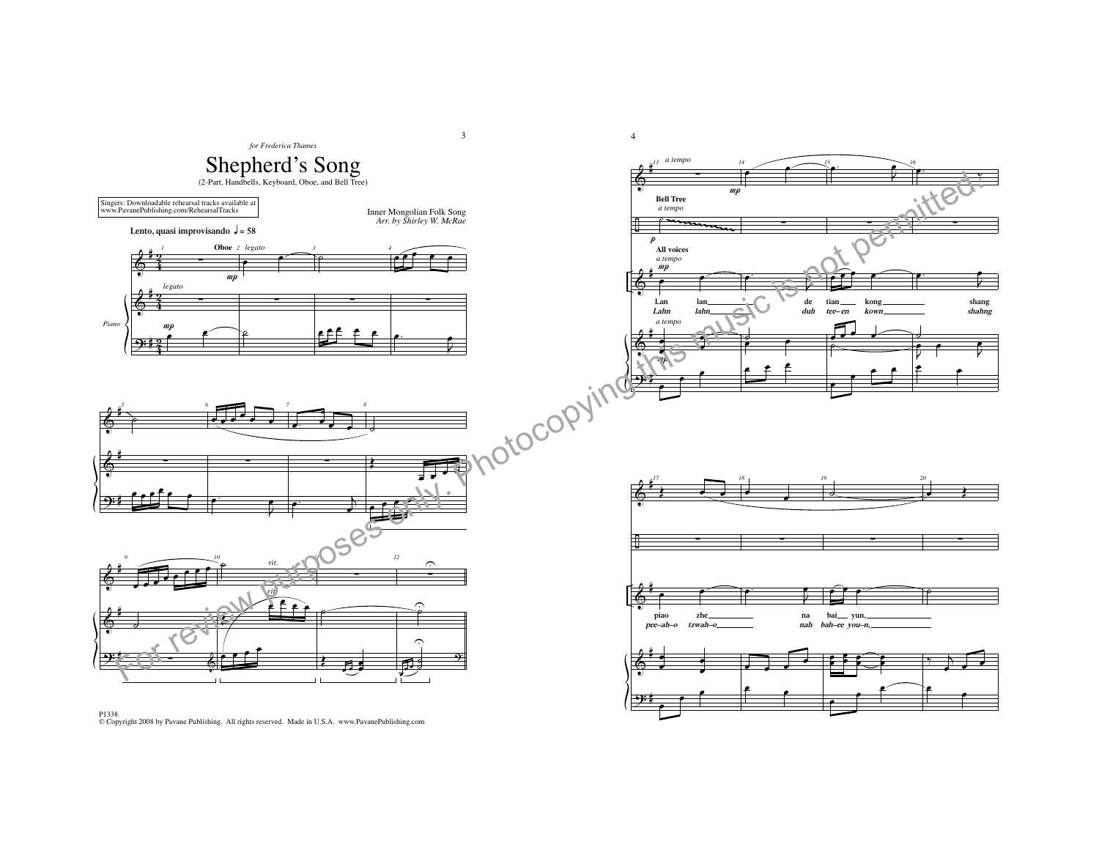

P1338 © Copyright 2008 by Pavane Publishing. All rights reserved. Made in U.S.A. www.PavanePublishing.com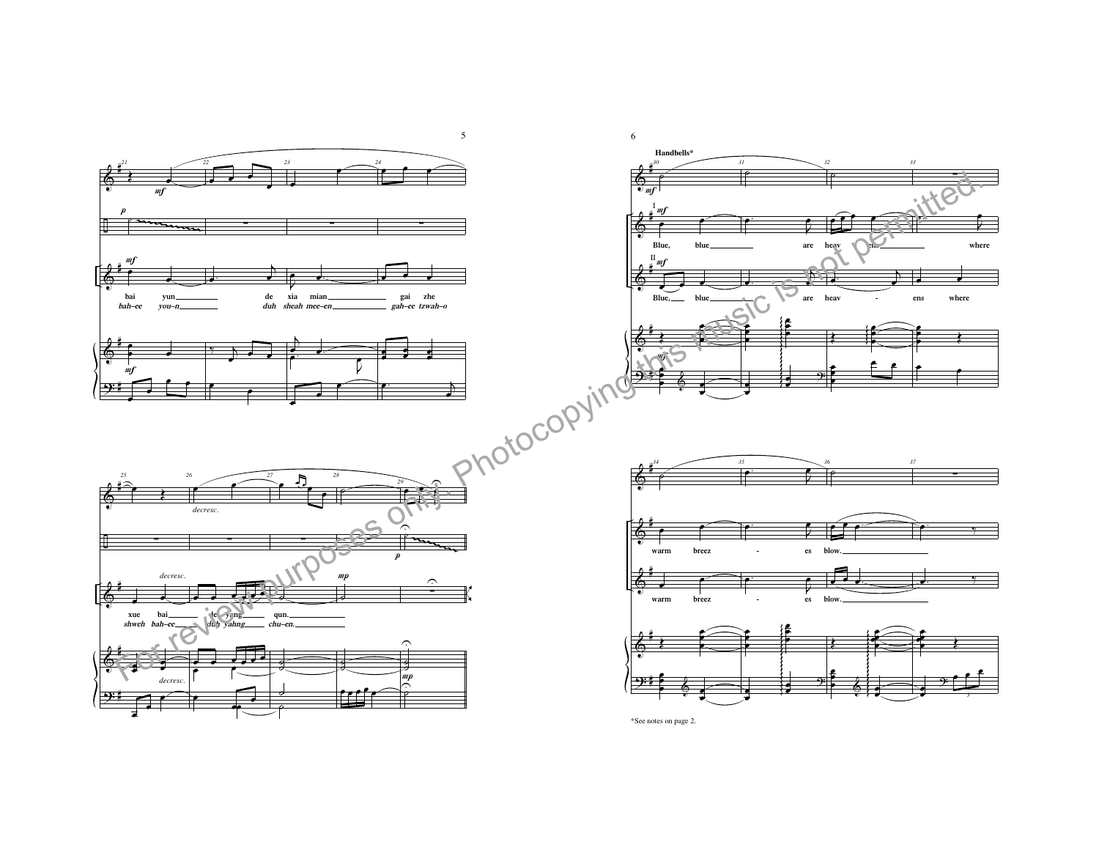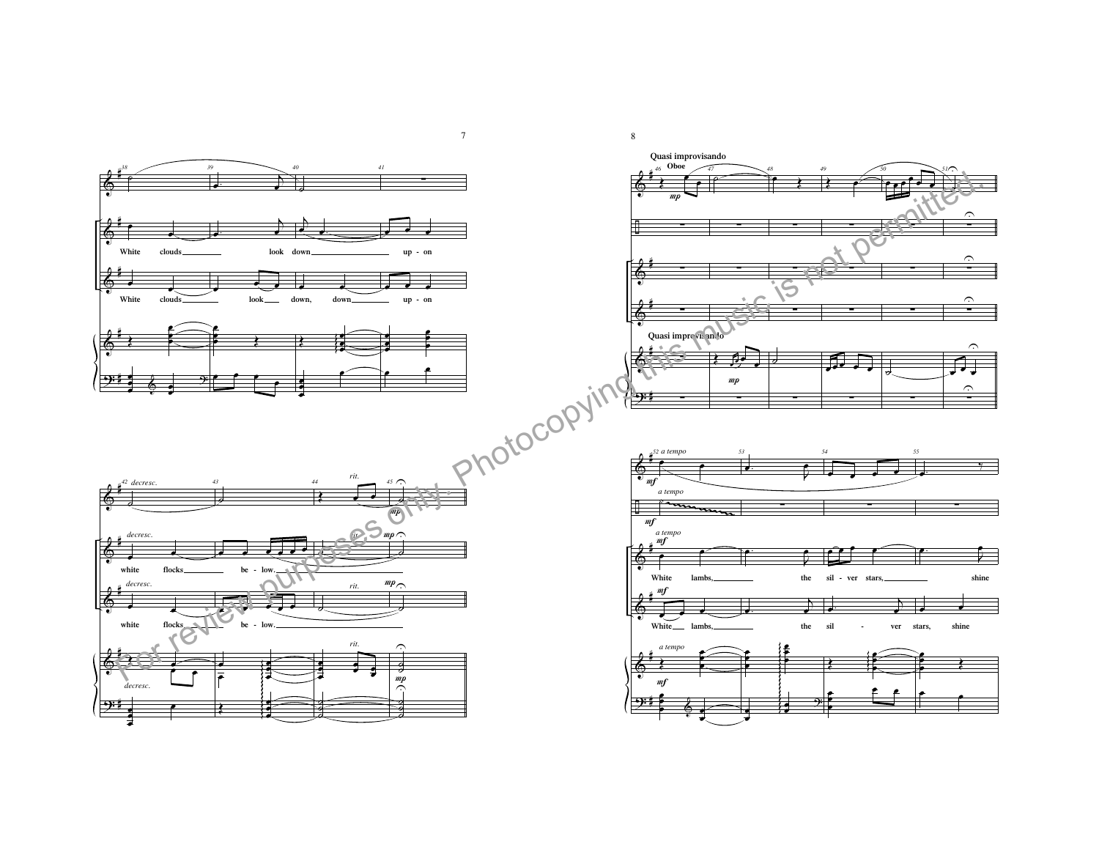

7